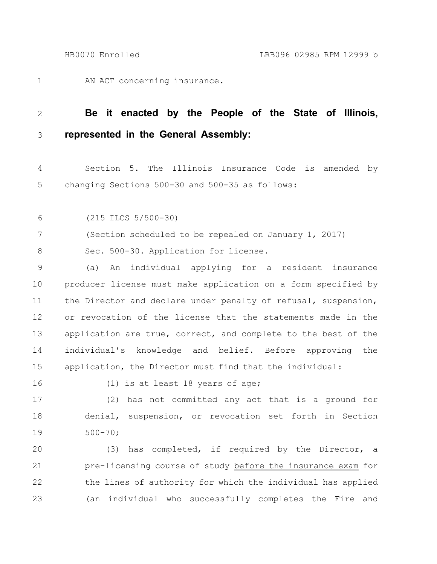AN ACT concerning insurance. 1

## **Be it enacted by the People of the State of Illinois, represented in the General Assembly:** 2 3

Section 5. The Illinois Insurance Code is amended by changing Sections 500-30 and 500-35 as follows: 4 5

(215 ILCS 5/500-30) 6

(Section scheduled to be repealed on January 1, 2017) 7

Sec. 500-30. Application for license. 8

(a) An individual applying for a resident insurance producer license must make application on a form specified by the Director and declare under penalty of refusal, suspension, or revocation of the license that the statements made in the application are true, correct, and complete to the best of the individual's knowledge and belief. Before approving the application, the Director must find that the individual: 9 10 11 12 13 14 15

16

(1) is at least 18 years of age;

(2) has not committed any act that is a ground for denial, suspension, or revocation set forth in Section 500-70; 17 18 19

(3) has completed, if required by the Director, a pre-licensing course of study before the insurance exam for the lines of authority for which the individual has applied (an individual who successfully completes the Fire and 20 21 22 23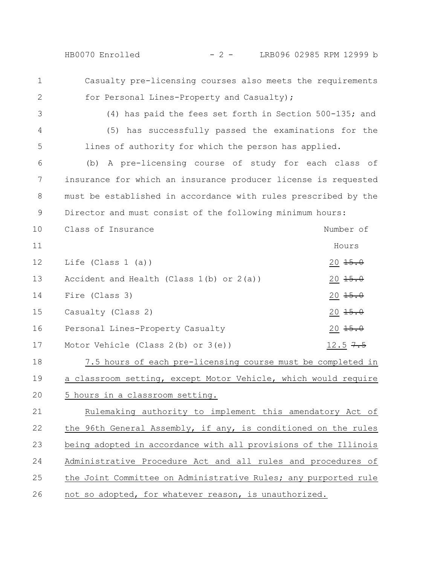- Casualty pre-licensing courses also meets the requirements
- for Personal Lines-Property and Casualty); 2
- 3

4

5

1

(4) has paid the fees set forth in Section 500-135; and (5) has successfully passed the examinations for the lines of authority for which the person has applied.

(b) A pre-licensing course of study for each class of insurance for which an insurance producer license is requested must be established in accordance with rules prescribed by the Director and must consist of the following minimum hours: 6 7 8 9

| 10 | Class of Insurance                            | Number of              |
|----|-----------------------------------------------|------------------------|
| 11 |                                               | Hours                  |
| 12 | Life (Class $1$ (a))                          | $20 \frac{15.0}{150}$  |
| 13 | Accident and Health (Class $1(b)$ or $2(a)$ ) | $20 \frac{15.0}{150}$  |
| 14 | Fire (Class 3)                                | $20 \frac{15.0}{150}$  |
| 15 | Casualty (Class 2)                            | $20 \frac{15.0}{1500}$ |
| 16 | Personal Lines-Property Casualty              | $20 \frac{15.0}{150}$  |
| 17 | Motor Vehicle (Class $2(b)$ or $3(e)$ )       | $12.5 + 5$             |

7.5 hours of each pre-licensing course must be completed in a classroom setting, except Motor Vehicle, which would require 5 hours in a classroom setting. 18 19 20

Rulemaking authority to implement this amendatory Act of the 96th General Assembly, if any, is conditioned on the rules being adopted in accordance with all provisions of the Illinois Administrative Procedure Act and all rules and procedures of the Joint Committee on Administrative Rules; any purported rule not so adopted, for whatever reason, is unauthorized. 21 22 23 24 25 26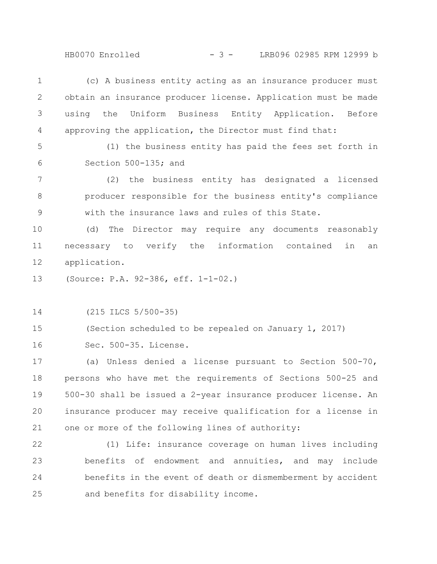HB0070 Enrolled  $- 3 -$  LRB096 02985 RPM 12999 b

(c) A business entity acting as an insurance producer must obtain an insurance producer license. Application must be made using the Uniform Business Entity Application. Before approving the application, the Director must find that: 1 2 3 4

5

6

(1) the business entity has paid the fees set forth in Section 500-135; and

(2) the business entity has designated a licensed producer responsible for the business entity's compliance with the insurance laws and rules of this State. 7 8 9

(d) The Director may require any documents reasonably necessary to verify the information contained in an application. 10 11 12

(Source: P.A. 92-386, eff. 1-1-02.) 13

(215 ILCS 5/500-35) 14

(Section scheduled to be repealed on January 1, 2017) 15

Sec. 500-35. License. 16

(a) Unless denied a license pursuant to Section 500-70, persons who have met the requirements of Sections 500-25 and 500-30 shall be issued a 2-year insurance producer license. An insurance producer may receive qualification for a license in one or more of the following lines of authority: 17 18 19 20 21

(1) Life: insurance coverage on human lives including benefits of endowment and annuities, and may include benefits in the event of death or dismemberment by accident and benefits for disability income. 22 23 24 25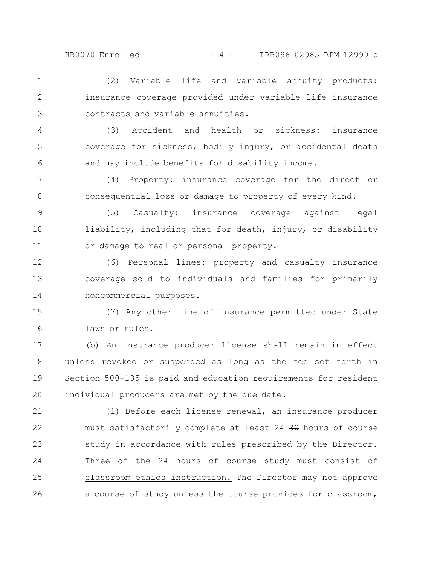(2) Variable life and variable annuity products: insurance coverage provided under variable life insurance contracts and variable annuities. 1 2 3

(3) Accident and health or sickness: insurance coverage for sickness, bodily injury, or accidental death and may include benefits for disability income. 4 5 6

(4) Property: insurance coverage for the direct or consequential loss or damage to property of every kind. 7 8

(5) Casualty: insurance coverage against legal liability, including that for death, injury, or disability or damage to real or personal property. 9 10 11

(6) Personal lines: property and casualty insurance coverage sold to individuals and families for primarily noncommercial purposes. 12 13 14

(7) Any other line of insurance permitted under State laws or rules. 15 16

(b) An insurance producer license shall remain in effect unless revoked or suspended as long as the fee set forth in Section 500-135 is paid and education requirements for resident individual producers are met by the due date. 17 18 19 20

(1) Before each license renewal, an insurance producer must satisfactorily complete at least 24 30 hours of course study in accordance with rules prescribed by the Director. Three of the 24 hours of course study must consist of classroom ethics instruction. The Director may not approve a course of study unless the course provides for classroom, 21 22 23 24 25 26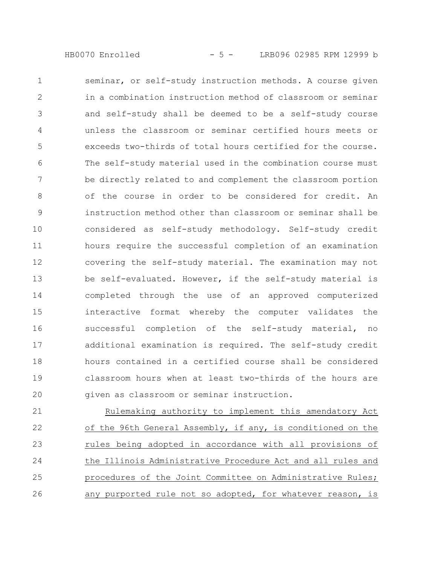- 5 -HB0070 Enrolled LRB096 02985 RPM 12999 b

seminar, or self-study instruction methods. A course given in a combination instruction method of classroom or seminar and self-study shall be deemed to be a self-study course unless the classroom or seminar certified hours meets or exceeds two-thirds of total hours certified for the course. The self-study material used in the combination course must be directly related to and complement the classroom portion of the course in order to be considered for credit. An instruction method other than classroom or seminar shall be considered as self-study methodology. Self-study credit hours require the successful completion of an examination covering the self-study material. The examination may not be self-evaluated. However, if the self-study material is completed through the use of an approved computerized interactive format whereby the computer validates the successful completion of the self-study material, no additional examination is required. The self-study credit hours contained in a certified course shall be considered classroom hours when at least two-thirds of the hours are given as classroom or seminar instruction. 1 2 3 4 5 6 7 8 9 10 11 12 13 14 15 16 17 18 19 20

Rulemaking authority to implement this amendatory Act of the 96th General Assembly, if any, is conditioned on the rules being adopted in accordance with all provisions of the Illinois Administrative Procedure Act and all rules and procedures of the Joint Committee on Administrative Rules; any purported rule not so adopted, for whatever reason, is 21 22 23 24 25 26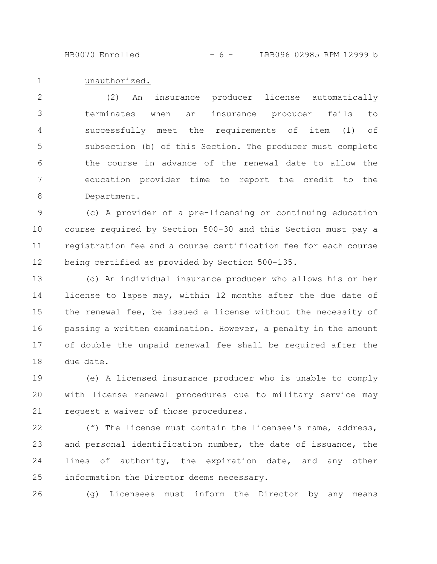- 6 -HB0070 Enrolled LRB096 02985 RPM 12999 b

## unauthorized. 1

(2) An insurance producer license automatically terminates when an insurance producer fails to successfully meet the requirements of item (1) of subsection (b) of this Section. The producer must complete the course in advance of the renewal date to allow the education provider time to report the credit to the Department. 2 3 4 5 6 7 8

(c) A provider of a pre-licensing or continuing education course required by Section 500-30 and this Section must pay a registration fee and a course certification fee for each course being certified as provided by Section 500-135. 9 10 11 12

(d) An individual insurance producer who allows his or her license to lapse may, within 12 months after the due date of the renewal fee, be issued a license without the necessity of passing a written examination. However, a penalty in the amount of double the unpaid renewal fee shall be required after the due date. 13 14 15 16 17 18

(e) A licensed insurance producer who is unable to comply with license renewal procedures due to military service may request a waiver of those procedures. 19 20 21

(f) The license must contain the licensee's name, address, and personal identification number, the date of issuance, the lines of authority, the expiration date, and any other information the Director deems necessary. 22 23 24 25

(g) Licensees must inform the Director by any means 26